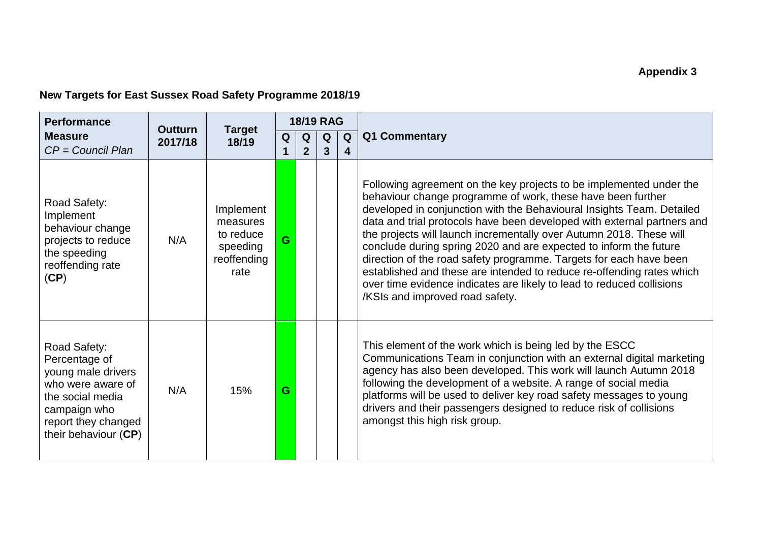## **New Targets for East Sussex Road Safety Programme 2018/19**

| <b>Performance</b><br><b>Measure</b><br>$CP = Council Plan$                                                                                                 | <b>Outturn</b><br>2017/18 | <b>Target</b><br>18/19                                                | <b>18/19 RAG</b> |                   |        |        |                                                                                                                                                                                                                                                                                                                                                                                                                                                                                                                                                                                                                                                                                               |
|-------------------------------------------------------------------------------------------------------------------------------------------------------------|---------------------------|-----------------------------------------------------------------------|------------------|-------------------|--------|--------|-----------------------------------------------------------------------------------------------------------------------------------------------------------------------------------------------------------------------------------------------------------------------------------------------------------------------------------------------------------------------------------------------------------------------------------------------------------------------------------------------------------------------------------------------------------------------------------------------------------------------------------------------------------------------------------------------|
|                                                                                                                                                             |                           |                                                                       | Q                | Q<br>$\mathbf{2}$ | Q<br>3 | Q<br>4 | Q1 Commentary                                                                                                                                                                                                                                                                                                                                                                                                                                                                                                                                                                                                                                                                                 |
| Road Safety:<br>Implement<br>behaviour change<br>projects to reduce<br>the speeding<br>reoffending rate<br>(CP)                                             | N/A                       | Implement<br>measures<br>to reduce<br>speeding<br>reoffending<br>rate | G.               |                   |        |        | Following agreement on the key projects to be implemented under the<br>behaviour change programme of work, these have been further<br>developed in conjunction with the Behavioural Insights Team. Detailed<br>data and trial protocols have been developed with external partners and<br>the projects will launch incrementally over Autumn 2018. These will<br>conclude during spring 2020 and are expected to inform the future<br>direction of the road safety programme. Targets for each have been<br>established and these are intended to reduce re-offending rates which<br>over time evidence indicates are likely to lead to reduced collisions<br>/KSIs and improved road safety. |
| Road Safety:<br>Percentage of<br>young male drivers<br>who were aware of<br>the social media<br>campaign who<br>report they changed<br>their behaviour (CP) | N/A                       | 15%                                                                   | G                |                   |        |        | This element of the work which is being led by the ESCC<br>Communications Team in conjunction with an external digital marketing<br>agency has also been developed. This work will launch Autumn 2018<br>following the development of a website. A range of social media<br>platforms will be used to deliver key road safety messages to young<br>drivers and their passengers designed to reduce risk of collisions<br>amongst this high risk group.                                                                                                                                                                                                                                        |